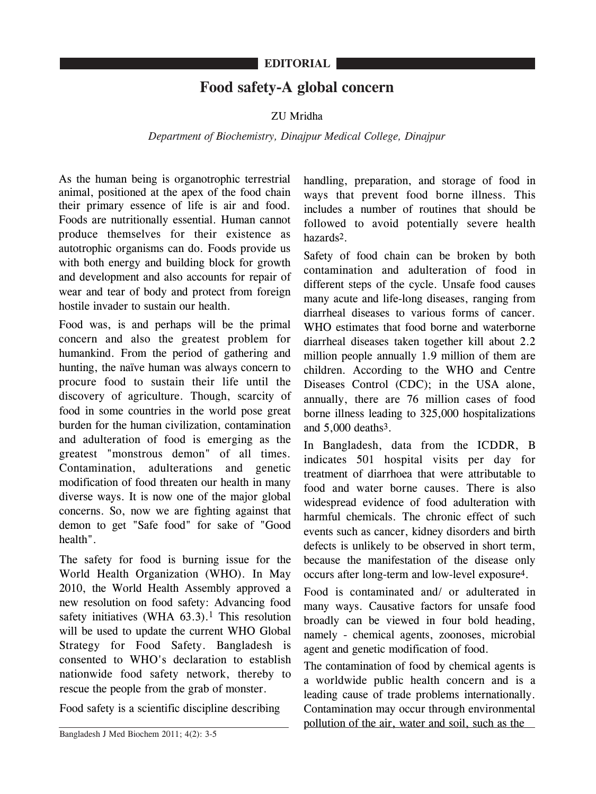## **Food safety-A global concern**

## ZU Mridha

## *Department of Biochemistry, Dinajpur Medical College, Dinajpur*

As the human being is organotrophic terrestrial animal, positioned at the apex of the food chain their primary essence of life is air and food. Foods are nutritionally essential. Human cannot produce themselves for their existence as autotrophic organisms can do. Foods provide us with both energy and building block for growth and development and also accounts for repair of wear and tear of body and protect from foreign hostile invader to sustain our health.

Food was, is and perhaps will be the primal concern and also the greatest problem for humankind. From the period of gathering and hunting, the naïve human was always concern to procure food to sustain their life until the discovery of agriculture. Though, scarcity of food in some countries in the world pose great burden for the human civilization, contamination and adulteration of food is emerging as the greatest "monstrous demon" of all times. Contamination, adulterations and genetic modification of food threaten our health in many diverse ways. It is now one of the major global concerns. So, now we are fighting against that demon to get "Safe food" for sake of "Good health".

The safety for food is burning issue for the World Health Organization (WHO). In May 2010, the World Health Assembly approved a new resolution on food safety: Advancing food safety initiatives (WHA  $63.3$ ).<sup>1</sup> This resolution will be used to update the current WHO Global Strategy for Food Safety. Bangladesh is consented to WHO's declaration to establish nationwide food safety network, thereby to rescue the people from the grab of monster.

Food safety is a scientific discipline describing

handling, preparation, and storage of food in ways that prevent food borne illness. This includes a number of routines that should be followed to avoid potentially severe health hazards2.

Safety of food chain can be broken by both contamination and adulteration of food in different steps of the cycle. Unsafe food causes many acute and life-long diseases, ranging from diarrheal diseases to various forms of cancer. WHO estimates that food borne and waterborne diarrheal diseases taken together kill about 2.2 million people annually 1.9 million of them are children. According to the WHO and Centre Diseases Control (CDC); in the USA alone, annually, there are 76 million cases of food borne illness leading to 325,000 hospitalizations and 5,000 deaths3.

In Bangladesh, data from the ICDDR, B indicates 501 hospital visits per day for treatment of diarrhoea that were attributable to food and water borne causes. There is also widespread evidence of food adulteration with harmful chemicals. The chronic effect of such events such as cancer, kidney disorders and birth defects is unlikely to be observed in short term, because the manifestation of the disease only occurs after long-term and low-level exposure4.

Food is contaminated and/ or adulterated in many ways. Causative factors for unsafe food broadly can be viewed in four bold heading, namely - chemical agents, zoonoses, microbial agent and genetic modification of food.

The contamination of food by chemical agents is a worldwide public health concern and is a leading cause of trade problems internationally. Contamination may occur through environmental pollution of the air, water and soil, such as the

Bangladesh J Med Biochem 2011; 4(2): 3-5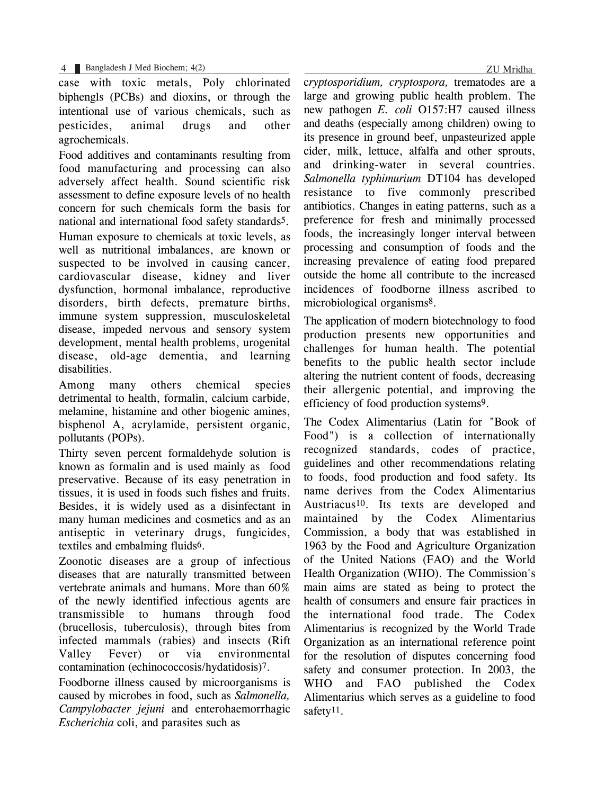4 Bangladesh J Med Biochem; 4(2) ZU Mridha

case with toxic metals, Poly chlorinated biphengls (PCBs) and dioxins, or through the intentional use of various chemicals, such as pesticides, animal drugs and other agrochemicals.

Food additives and contaminants resulting from food manufacturing and processing can also adversely affect health. Sound scientific risk assessment to define exposure levels of no health concern for such chemicals form the basis for national and international food safety standards5.

Human exposure to chemicals at toxic levels, as well as nutritional imbalances, are known or suspected to be involved in causing cancer, cardiovascular disease, kidney and liver dysfunction, hormonal imbalance, reproductive disorders, birth defects, premature births, immune system suppression, musculoskeletal disease, impeded nervous and sensory system development, mental health problems, urogenital disease, old-age dementia, and learning disabilities.

Among many others chemical species detrimental to health, formalin, calcium carbide, melamine, histamine and other biogenic amines, bisphenol A, acrylamide, persistent organic, pollutants (POPs).

Thirty seven percent formaldehyde solution is known as formalin and is used mainly as food preservative. Because of its easy penetration in tissues, it is used in foods such fishes and fruits. Besides, it is widely used as a disinfectant in many human medicines and cosmetics and as an antiseptic in veterinary drugs, fungicides, textiles and embalming fluids6.

Zoonotic diseases are a group of infectious diseases that are naturally transmitted between vertebrate animals and humans. More than 60% of the newly identified infectious agents are transmissible to humans through food (brucellosis, tuberculosis), through bites from infected mammals (rabies) and insects (Rift Valley Fever) or via environmental contamination (echinococcosis/hydatidosis)7.

Foodborne illness caused by microorganisms is caused by microbes in food, such as *Salmonella, Campylobacter jejuni* and enterohaemorrhagic *Escherichia* coli, and parasites such as

c*ryptosporidium, cryptospora,* trematodes are a large and growing public health problem. The new pathogen *E. coli* O157:H7 caused illness and deaths (especially among children) owing to its presence in ground beef, unpasteurized apple cider, milk, lettuce, alfalfa and other sprouts, and drinking-water in several countries. *Salmonella typhimurium* DT104 has developed resistance to five commonly prescribed antibiotics. Changes in eating patterns, such as a preference for fresh and minimally processed foods, the increasingly longer interval between processing and consumption of foods and the increasing prevalence of eating food prepared outside the home all contribute to the increased incidences of foodborne illness ascribed to microbiological organisms8.

The application of modern biotechnology to food production presents new opportunities and challenges for human health. The potential benefits to the public health sector include altering the nutrient content of foods, decreasing their allergenic potential, and improving the efficiency of food production systems9.

The Codex Alimentarius (Latin for "Book of Food") is a collection of internationally recognized standards, codes of practice, guidelines and other recommendations relating to foods, food production and food safety. Its name derives from the Codex Alimentarius Austriacus10. Its texts are developed and maintained by the Codex Alimentarius Commission, a body that was established in 1963 by the Food and Agriculture Organization of the United Nations (FAO) and the World Health Organization (WHO). The Commission's main aims are stated as being to protect the health of consumers and ensure fair practices in the international food trade. The Codex Alimentarius is recognized by the World Trade Organization as an international reference point for the resolution of disputes concerning food safety and consumer protection. In 2003, the WHO and FAO published the Codex Alimentarius which serves as a guideline to food safety<sup>11</sup>.